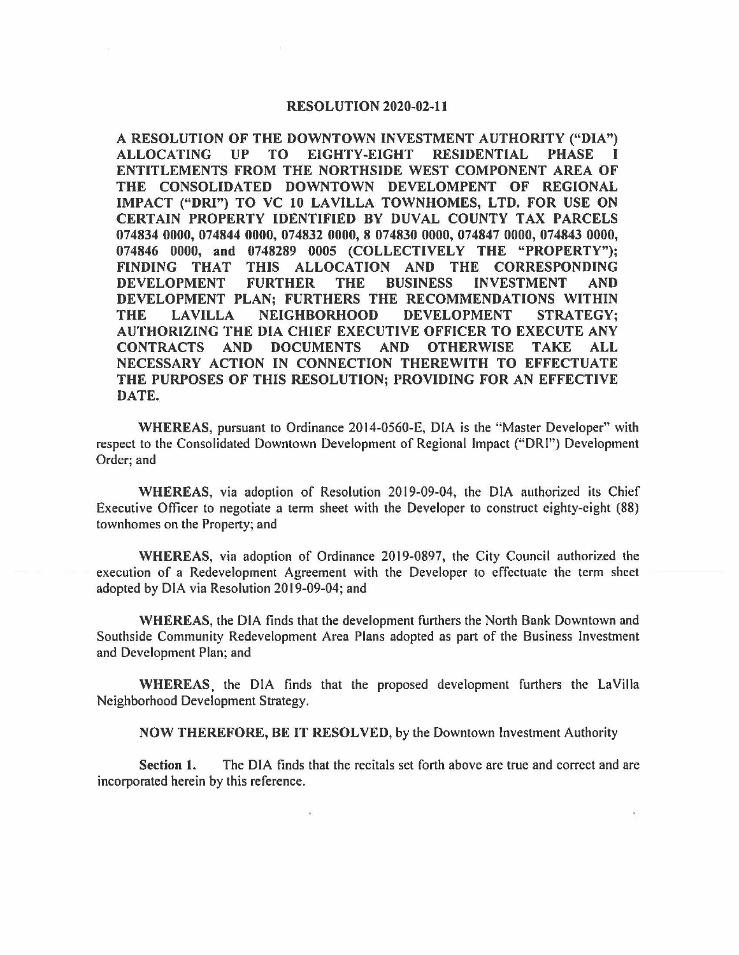## **RESOLUTION 2020-02-11**

I **A RESOLUTION OF THE DOWNTOWN INVESTMENT AUTHORITY ("DIA") ALLOCATING UP TO EIGHTY-EIGHT RESIDENTIAL PHASE ENTITLEMENTS FROM THE NORTHSIDE WEST COMPONENT AREA OF THE CONSOLIDATED DOWNTOWN DEVELOMPENT OF REGIONAL IMPACT ("DRI") TO VC 10 LAVILLA TOWNHOMES, LTD. FOR USE ON CERTAIN PROPERTY IDENTIFIED BY DUVAL COUNTY TAX PARCELS 074834 0000, 074844 0000, 074832 0000, 8 074830 0000, 074847 0000, 074843 0000, 074846 0000, and 0748289 0005 (COLLECTIVELY THE "PROPERTY"); FINDING THAT THIS ALLOCATION AND THE CORRESPONDING DEVELOPMENT FURTHER THE BUSINESS INVESTMENT AND DEVELOPMENT PLAN; FURTHERS THE RECOMMENDATIONS WITHIN THE LAVILLA NEIGHBORHOOD DEVELOPMENT STRATEGY; AUTHORIZING THE DIA CHIEF EXECUTIVE OFFICER TO EXECUTE ANY CONTRACTS AND DOCUMENTS AND OTHERWISE TAKE ALL NECESSARY ACTION IN CONNECTION THEREWITH TO EFFECTUATE THE PURPOSES OF THIS RESOLUTION; PROVIDING FOR AN EFFECTIVE DATE.** 

**WHEREAS,** pursuant to Ordinance 2014-0560-E, DIA is the '"Master Developer" with respect to the Consolidated Downtown Development of Regional Impact ("ORI") Development Order; and

**WHEREAS,** via adoption of Resolution 2019-09-04, the DIA authorized its Chief Executive Officer to negotiate a term sheet with the Developer to construct eighty-eight (88) townhomes on the Property; and

**WHEREAS,** via adoption of Ordinance 2019-0897, the City Council authorized the execution of a Redevelopment Agreement with the Developer to effectuate the term sheet adopted by DIA via Resolution 2019-09-04; and

**WHEREAS,** the DIA finds that the development furthers the North Bank Downtown and Southside Community Redevelopment Area Plans adopted as part of the Business Investment and Development Plan; and

WHEREAS, the DIA finds that the proposed development furthers the LaVilla Neighborhood Development Strategy.

**NOW THEREFORE, BE IT RESOLVED,** by the Downtown Investment Authority

**Section 1.** The DIA finds that the recitals set forth above are true and correct and are incorporated herein by this reference.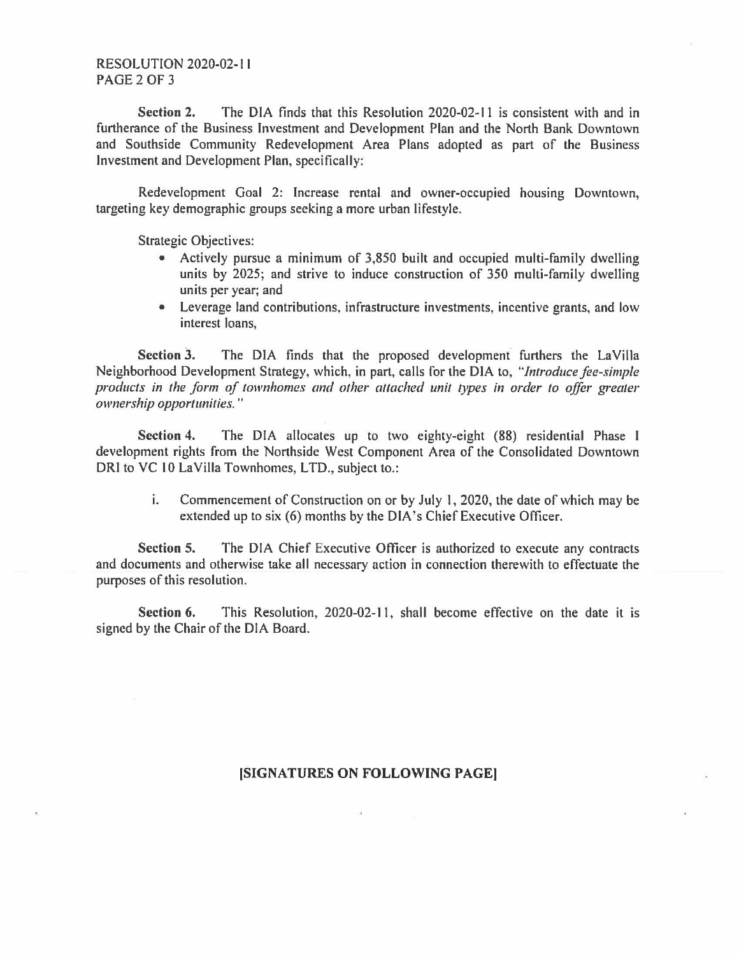**Section 2.** The DIA finds that this Resolution 2020-02-11 is consistent with and in furtherance of the Business Investment and Development Plan and the North Bank Downtown and Southside Community Redevelopment Area Plans adopted as part of the Business Investment and Development Plan, specifically:

Redevelopment Goal 2: Increase rental and owner-occupied housing Downtown, targeting key demographic groups seeking a more urban lifestyle.

Strategic Objectives:

- Actively pursue a minimum of 3,850 built and occupied multi-family dwelling units by 2025; and strive to induce construction of 350 multi-family dwelling units per year; and
- Leverage land contributions, infrastructure investments, incentive grants, and low interest loans,

**Section 3.** The DIA finds that the proposed development furthers the LaVilla Neighborhood Development Strategy, which, in part, calls for the DIA to, *"Introduce fee-simple products in the form of townhomes and other attached unit types in order to offer greater ownership opportunities.* "

**Section 4.** The DIA allocates up to two eighty-eight **(88)** residential Phase I development rights from the Northside West Component Area of the Consolidated Downtown DRI to VC 10 LaVilla Townhomes, LTD., subject to.:

i. Commencement of Construction on or by July I, 2020, the date of which may be extended up to six (6) months by the DIA's Chief Executive Officer.

**Section 5.** The DIA Chief Executive Officer is authorized to execute any contracts and documents and otherwise take all necessary action in connection therewith to effectuate the purposes of this resolution.

**Section 6.** This Resolution, 2020-02-11, shall become effective on the date it is signed by the Chair of the DIA Board.

## **[SIGNATURES ON FOLLOWING PAGE)**